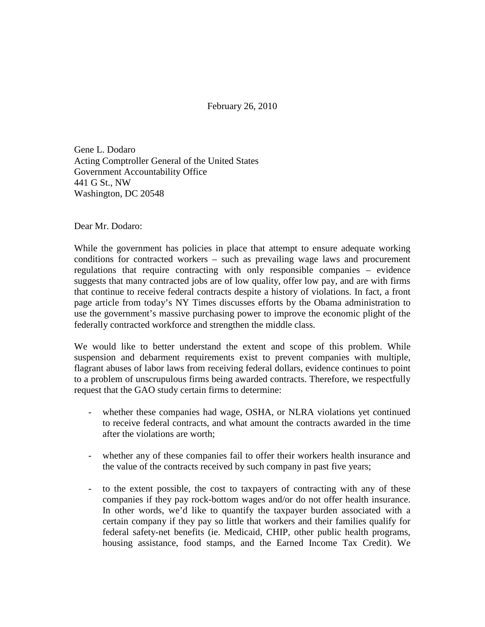February 26, 2010

Gene L. Dodaro Acting Comptroller General of the United States Government Accountability Office 441 G St., NW Washington, DC 20548

Dear Mr. Dodaro:

While the government has policies in place that attempt to ensure adequate working conditions for contracted workers – such as prevailing wage laws and procurement regulations that require contracting with only responsible companies – evidence suggests that many contracted jobs are of low quality, offer low pay, and are with firms that continue to receive federal contracts despite a history of violations. In fact, a front page article from today's NY Times discusses efforts by the Obama administration to use the government's massive purchasing power to improve the economic plight of the federally contracted workforce and strengthen the middle class.

We would like to better understand the extent and scope of this problem. While suspension and debarment requirements exist to prevent companies with multiple, flagrant abuses of labor laws from receiving federal dollars, evidence continues to point to a problem of unscrupulous firms being awarded contracts. Therefore, we respectfully request that the GAO study certain firms to determine:

- whether these companies had wage, OSHA, or NLRA violations yet continued to receive federal contracts, and what amount the contracts awarded in the time after the violations are worth;
- whether any of these companies fail to offer their workers health insurance and the value of the contracts received by such company in past five years;
- to the extent possible, the cost to taxpayers of contracting with any of these companies if they pay rock-bottom wages and/or do not offer health insurance. In other words, we'd like to quantify the taxpayer burden associated with a certain company if they pay so little that workers and their families qualify for federal safety-net benefits (ie. Medicaid, CHIP, other public health programs, housing assistance, food stamps, and the Earned Income Tax Credit). We